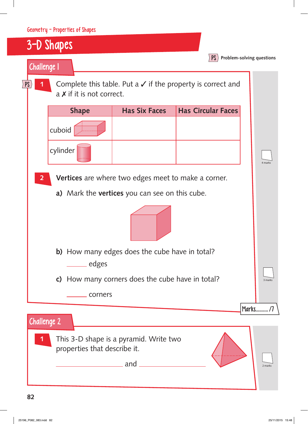|                                                |                                                                                                                                       | Geometry - Properties of Shapes                                                                            |                      |                           |                           |
|------------------------------------------------|---------------------------------------------------------------------------------------------------------------------------------------|------------------------------------------------------------------------------------------------------------|----------------------|---------------------------|---------------------------|
|                                                |                                                                                                                                       | 3-D Shapes                                                                                                 |                      |                           |                           |
|                                                |                                                                                                                                       | <b>Challenge 1</b>                                                                                         |                      | PS                        | Problem-solving questions |
| <b>PS</b>                                      |                                                                                                                                       | Complete this table. Put a $\checkmark$ if the property is correct and<br>$a \times$ if it is not correct. |                      |                           |                           |
|                                                |                                                                                                                                       | <b>Shape</b>                                                                                               | <b>Has Six Faces</b> | <b>Has Circular Faces</b> |                           |
|                                                |                                                                                                                                       | cuboid                                                                                                     |                      |                           |                           |
|                                                |                                                                                                                                       | cylinder                                                                                                   |                      |                           | 4 marks                   |
|                                                | $\overline{2}$                                                                                                                        |                                                                                                            |                      |                           |                           |
|                                                | <b>Vertices</b> are where two edges meet to make a corner.                                                                            |                                                                                                            |                      |                           |                           |
| a) Mark the vertices you can see on this cube. |                                                                                                                                       |                                                                                                            |                      |                           |                           |
|                                                |                                                                                                                                       |                                                                                                            |                      |                           |                           |
|                                                | <b>b)</b> How many edges does the cube have in total?<br><u>____</u> edges<br><b>c)</b> How many corners does the cube have in total? |                                                                                                            |                      |                           |                           |
|                                                |                                                                                                                                       |                                                                                                            |                      |                           |                           |
|                                                |                                                                                                                                       |                                                                                                            |                      |                           | 3 marks                   |
|                                                | corners                                                                                                                               |                                                                                                            |                      |                           |                           |
|                                                |                                                                                                                                       |                                                                                                            |                      |                           | Marks/7                   |
|                                                |                                                                                                                                       | <b>Challenge 2</b>                                                                                         |                      |                           |                           |
|                                                | This 3-D shape is a pyramid. Write two<br>1<br>properties that describe it.<br>and                                                    |                                                                                                            |                      |                           |                           |
|                                                |                                                                                                                                       |                                                                                                            |                      |                           |                           |